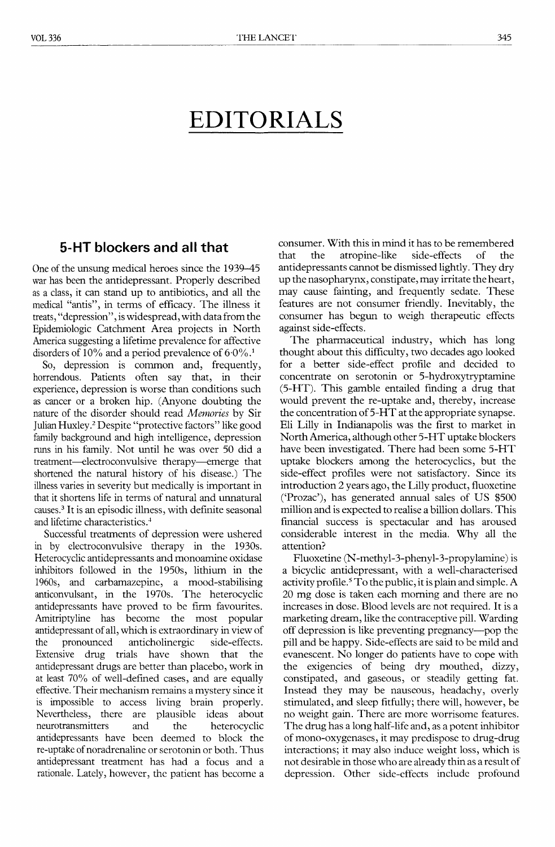## EDITORIALS

## 5-HT blockers and all that

One of the unsung medical heroes since the 1939-45 war has been the antidepressant. Properly described as a class, it can stand up to antibiotics, and all the medical "antis", in terms of efficacy. The illness it treats, "depression", is widespread, with data from the Epidemiologic Catchment Area projects in North America suggesting a lifetime prevalence for affective disorders of 10% and a period prevalence of  $6.0\%$ <sup>1</sup>.

So, depression is common and, frequently, horrendous. Patients often say that, in their experience, depression is worse than conditions such as cancer or a broken hip. (Anyone doubting the nature of the disorder should read Memories by Sir Julian Huxley.2 Despite "protective factors" like good family background and high intelligence, depression runs in his family. Not until he was over 50 did a treatment-electroconvulsive therapy-emerge that shortened the natural history of his disease.) The illness varies in severity but medically is important in that it shortens life in terms of natural and unnatural causes.3 It is an episodic illness, with definite seasonal and lifetime characteristics.'

Successful treatments of depression were ushered in by electroconvulsive therapy in the 1930s. Heterocyclic antidepressants and monoamine oxidase inhibitors followed in the 1950s, lithium in the 1960s, and carbamazepine, a mood-stabilising anticonvulsant, in the 1970s. The heterocyclic antidepressants have proved to be firm favourites. Amitriptyline has become the most popular antidepressant of all, which is extraordinary in view of the pronounced anticholinergic side-effects. Extensive drug trials have shown that the antidepressant drugs are better than placebo, work in at least 70% of well-defined cases, and are equally effective. Their mechanism remains a mystery since it is impossible to access living brain properly. Nevertheless, there are plausible ideas about<br>neurotransmitters and the heterocyclic neurotransmitters and antidepressants have been deemed to block the re-uptake of noradrenaline or serotonin or both. Thus antidepressant treatment has had a focus and a rationale. Lately, however, the patient has become a consumer. With this in mind it has to be remembered that the atropine-like side-effects of the antidepressants cannot be dismissed lightly. They dry up the nasopharynx, constipate, may irritate the heart, may cause fainting, and frequently sedate. These features are not consumer friendly. Inevitably, the consumer has begun to weigh therapeutic effects against side-effects.

The pharmaceutical industry, which has long thought about this difficulty, two decades ago looked for a better side-effect profile and decided to concentrate on serotonin or 5-hydroxytryptamine (5-HT). This gamble entailed finding a drug that would prevent the re-uptake and, thereby, increase the concentration of 5-HT at the appropriate synapse. Eli Lilly in Indianapolis was the first to market in North America, although other 5-HT uptake blockers have been investigated. There had been some 5-HT uptake blockers among the heterocyclics, but the side-effect profiles were not satisfactory. Since its introduction 2 years ago, the Lilly product, fluoxetine ('Prozac'), has generated annual sales of US  $$500$ million and is expected to realise a billion dollars. This financial success is spectacular and has aroused considerable interest in the media. Why all the attention?

Fluoxetine (N-methyl-3-phenyl-3-propylamine) is a bicyclic antidepressant, with a well-characterised activity profile.<sup>5</sup> To the public, it is plain and simple. A 20 mg dose is taken each morning and there are no increases in dose. Blood levels are not required. It is a marketing dream, like the contraceptive pill. Warding off depression is like preventing pregnancy-pop the pill and be happy. Side-effects are said to be mild and evanescent. No longer do patients have to cope with the exigencies of being dry mouthed, dizzy, constipated, and gaseous, or steadily getting fat. Instead they may be nauseous, headachy, overly stimulated, and sleep fitfully; there will, however, be no weight gain. There are more worrisome features. The drug has a long half-life and, as a potent inhibitor of mono-oxygenases, it may predispose to drug-drug interactions; it may also induce weight loss, which is not desirable in those who are already thin as a result of depression. Other side-effects include profound